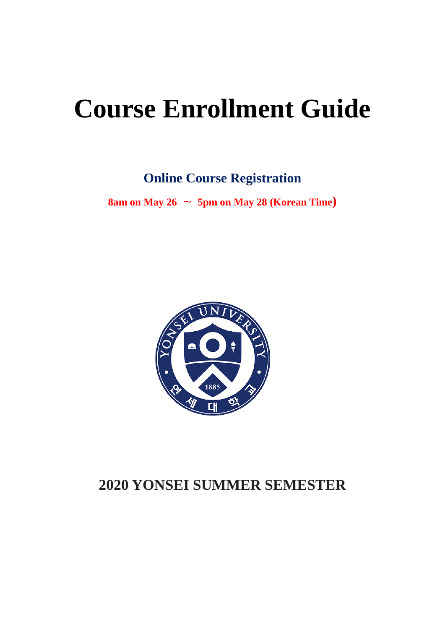# **Course Enrollment Guide**

**Online Course Registration**

**8am on May 26**  $\sim$  **5pm on May 28 (Korean Time)** 



# **2020 YONSEI SUMMER SEMESTER**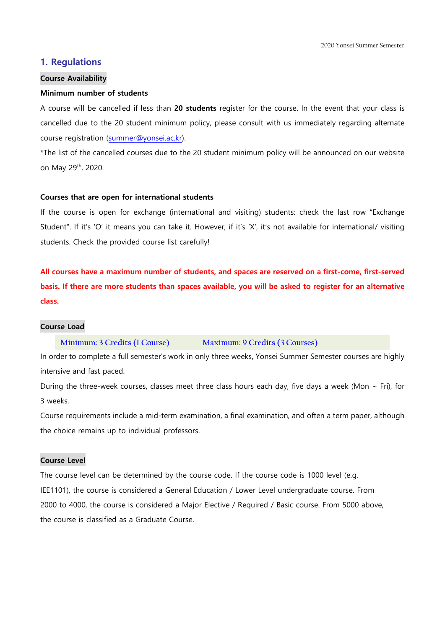# **1. Regulations**

#### **Course Availability**

#### **Minimum number of students**

A course will be cancelled if less than **20 students** register for the course. In the event that your class is cancelled due to the 20 student minimum policy, please consult with us immediately regarding alternate course registration [\(summer@yonsei.ac.kr\)](mailto:summer@yonsei.ac.kr).

\*The list of the cancelled courses due to the 20 student minimum policy will be announced on our website on May 29th, 2020.

#### **Courses that are open for international students**

If the course is open for exchange (international and visiting) students: check the last row "Exchange Student". If it's 'O' it means you can take it. However, if it's 'X', it's not available for international/ visiting students. Check the provided course list carefully!

**All courses have a maximum number of students, and spaces are reserved on a first-come, first-served basis. If there are more students than spaces available, you will be asked to register for an alternative class.**

#### **Course Load**

#### **Minimum: 3 Credits (1 Course) Maximum: 9 Credits (3 Courses)**

In order to complete a full semester's work in only three weeks, Yonsei Summer Semester courses are highly intensive and fast paced.

During the three-week courses, classes meet three class hours each day, five days a week (Mon  $\sim$  Fri), for 3 weeks.

Course requirements include a mid-term examination, a final examination, and often a term paper, although the choice remains up to individual professors.

# **Course Level**

The course level can be determined by the course code. If the course code is 1000 level (e.g. IEE1101), the course is considered a General Education / Lower Level undergraduate course. From 2000 to 4000, the course is considered a Major Elective / Required / Basic course. From 5000 above, the course is classified as a Graduate Course.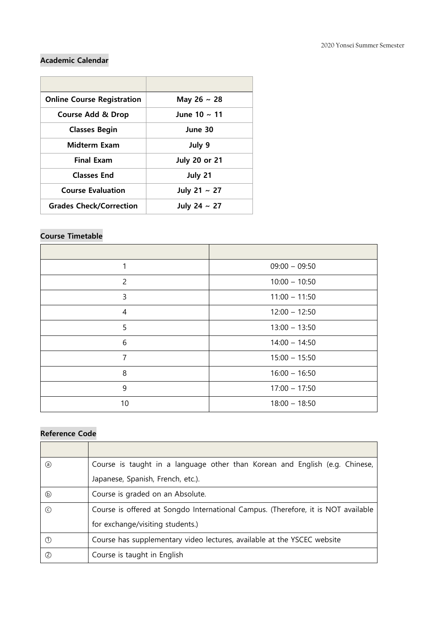# **Academic Calendar**

| <b>Online Course Registration</b> | May 26 $\sim$ 28     |
|-----------------------------------|----------------------|
| <b>Course Add &amp; Drop</b>      | June 10 $\sim$ 11    |
| <b>Classes Begin</b>              | June 30              |
| <b>Midterm Exam</b>               | July 9               |
| <b>Final Exam</b>                 | <b>July 20 or 21</b> |
| <b>Classes End</b>                | July 21              |
| <b>Course Evaluation</b>          | July 21 $\sim$ 27    |
| <b>Grades Check/Correction</b>    | July 24 $\sim$ 27    |

# **Course Timetable**

| 1              | $09:00 - 09:50$ |
|----------------|-----------------|
| $\overline{c}$ | $10:00 - 10:50$ |
| 3              | $11:00 - 11:50$ |
| $\overline{4}$ | $12:00 - 12:50$ |
| 5              | $13:00 - 13:50$ |
| 6              | $14:00 - 14:50$ |
| $\overline{7}$ | $15:00 - 15:50$ |
| 8              | $16:00 - 16:50$ |
| 9              | $17:00 - 17:50$ |
| 10             | $18:00 - 18:50$ |

# **Reference Code**

| (a) | Course is taught in a language other than Korean and English (e.g. Chinese,       |
|-----|-----------------------------------------------------------------------------------|
|     | Japanese, Spanish, French, etc.).                                                 |
| (b) | Course is graded on an Absolute.                                                  |
| (c) | Course is offered at Songdo International Campus. (Therefore, it is NOT available |
|     | for exchange/visiting students.)                                                  |
| (1) | Course has supplementary video lectures, available at the YSCEC website           |
| (2) | Course is taught in English                                                       |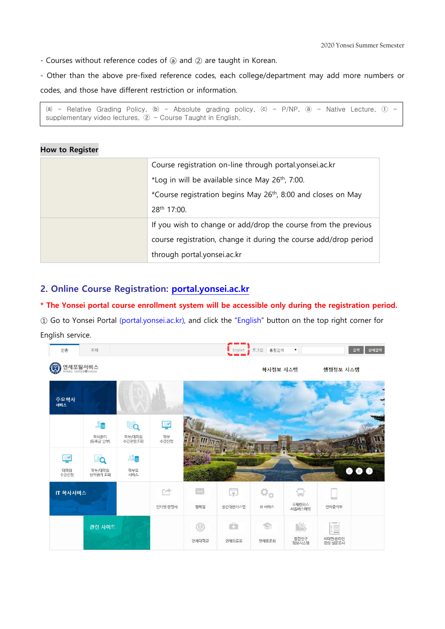2020 Yonsei Summer Semester

- Courses without reference codes of ⓐ and ② are taught in Korean.

- Other than the above pre-fixed reference codes, each college/department may add more numbers or codes, and those have different restriction or information.

(a) - Relative Grading Policy, (b) - Absolute grading policy, (c) - P/NP,  $\circled{a}$  - Native Lecture,  $\circled{1}$  supplementary video lectures,  $\circled{2}$  - Course Taught in English,

## **How to Register**

| Course registration on-line through portal.yonsei.ac.kr                   |
|---------------------------------------------------------------------------|
| *Log in will be available since May $26th$ , 7:00.                        |
| *Course registration begins May 26 <sup>th</sup> , 8:00 and closes on May |
| 28 <sup>th</sup> 17:00.                                                   |
| If you wish to change or add/drop the course from the previous            |
| course registration, change it during the course add/drop period          |
| through portal.yonsei.ac.kr                                               |

# **2. Online Course Registration: [portal.yonsei.ac.kr](http://portal.yonsei.ac.kr/)**

# **\* The Yonsei portal course enrollment system will be accessible only during the registration period.**

① Go to Yonsei Portal (portal.yonsei.ac.kr), and click the "English" button on the top right corner for English service.

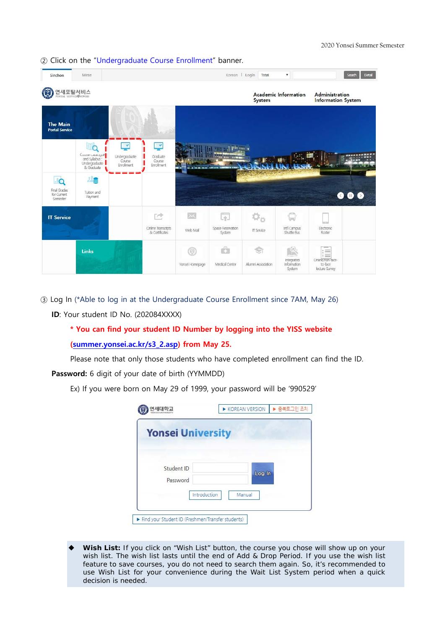

② Click on the "Undergraduate Course Enrollment" banner.

③ Log In (\*Able to log in at the Undergraduate Course Enrollment since 7AM, May 26)

**ID**: Your student ID No. (202084XXXX)

# **\* You can find your student ID Number by logging into the YISS website [\(summer.yonsei.ac.kr/s3\\_2.asp\)](http://summer.yonsei.ac.kr/s3_2.asp) from May 25.**

Please note that only those students who have completed enrollment can find the ID. **Password:** 6 digit of your date of birth (YYMMDD)

Ex) If you were born on May 29 of 1999, your password will be '990529'

| <b>Yonsei University</b> |              |        |        |  |
|--------------------------|--------------|--------|--------|--|
|                          |              |        |        |  |
| Student ID               |              |        |        |  |
| Password                 |              |        | Log In |  |
|                          | Introduction | Manual |        |  |

Wish List: If you click on "Wish List" button, the course you chose will show up on your wish list. The wish list lasts until the end of Add & Drop Period. If you use the wish list feature to save courses, you do not need to search them again. So, it's recommended to use Wish List for your convenience during the Wait List System period when a quick decision is needed.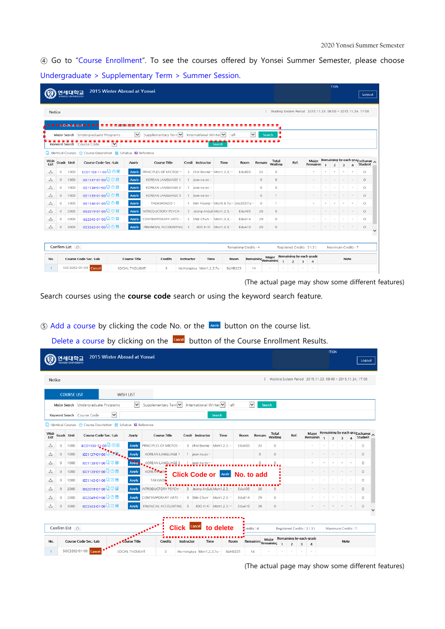④ Go to "Course Enrollment". To see the courses offered by Yonsei Summer Semester, please choose Undergraduate > Supplementary Term > Summer Session.

|              |         |                            |                                                                                  | 2015 Winter Abroad at Yonsei |                     |                                 |                          |                         |      |                                          |                       |              |                              |                |                         |                                                             | <b>TION</b>    |                         |          |                                           |
|--------------|---------|----------------------------|----------------------------------------------------------------------------------|------------------------------|---------------------|---------------------------------|--------------------------|-------------------------|------|------------------------------------------|-----------------------|--------------|------------------------------|----------------|-------------------------|-------------------------------------------------------------|----------------|-------------------------|----------|-------------------------------------------|
| ٠o           |         | 연세대학교<br>YONSEI UNIVERSITY |                                                                                  |                              |                     |                                 |                          |                         |      |                                          |                       |              |                              |                |                         |                                                             |                |                         |          | Logout                                    |
|              |         |                            |                                                                                  |                              |                     |                                 |                          |                         |      |                                          |                       |              |                              |                |                         |                                                             |                |                         |          |                                           |
|              | Notice  |                            |                                                                                  |                              |                     |                                 |                          |                         |      |                                          |                       |              |                              |                |                         | Waiting System Period 2015.11.23, 08:00 ~ 2015.11.24, 17:00 |                |                         |          |                                           |
|              |         |                            | ■ ■ ■ ■ ● ■ ■ ■ ■ ■ ■ ■                                                          |                              |                     |                                 |                          |                         |      |                                          |                       |              |                              |                |                         |                                                             |                |                         |          |                                           |
|              |         |                            |                                                                                  |                              |                     |                                 |                          |                         |      |                                          |                       |              |                              |                |                         |                                                             |                |                         |          |                                           |
|              |         |                            | Major Search Undergraduate Programs                                              |                              | $\checkmark$        | Supplementary Tern V            |                          | International Winter    |      | $ -a  -$                                 |                       | $\checkmark$ | <b>Search</b>                |                |                         |                                                             |                |                         |          |                                           |
|              |         |                            | Keyword Search Course Code                                                       | $\check{ }$                  |                     |                                 |                          |                         |      | <b>Search</b>                            |                       |              |                              |                |                         |                                                             |                |                         |          |                                           |
|              |         |                            | $\Box$ Identical Courses (?) Course Description $\Box$ Syllabus $\Box$ Reference |                              |                     |                                 |                          |                         |      |                                          |                       |              |                              |                |                         |                                                             |                |                         |          |                                           |
| Wish<br>List |         | Grade Unit                 | Course Code-Sec.-Lab                                                             |                              | Apply               | <b>Course Title</b>             |                          | Credi Instructor        |      | Time                                     | Room                  | Remain       | <b>Total</b><br>Waiting      | Ref.           |                         | Maior<br>Remainin                                           | $\overline{z}$ |                         | $\Delta$ | Remaining by each gra Exchange<br>Student |
| ۵            | $\circ$ | 1000                       | ECO1103-11-00 Q ② 图                                                              |                              | <b>Apply</b>        | PRINCIPLES OF MICROE            |                          |                         |      | 3 choi Byung ··· Mon1,2,3, ···           | Edu603                | 24           | $\circ$                      |                |                         | ÷.                                                          |                | $\overline{\mathbf{3}}$ |          | $\circ$                                   |
| ٹ            | $\circ$ | 1000                       | IEE1137-01-00 QO目                                                                |                              | <b>Apply</b>        | KOREAN LANGUAGE 1               |                          | 1 jeon na yo ···        |      |                                          |                       | $\circ$      | $\circ$                      |                |                         | ٠                                                           |                |                         |          | $\circ$                                   |
| 스            | $\circ$ | 1000                       | IEE1138-01-00 QQ                                                                 |                              | <b>Apply</b>        | KOREAN LANGUAGE 2               |                          | 1 jeon na yo ···        |      |                                          |                       | $\circ$      | $\circ$                      |                |                         | ٠                                                           |                |                         |          | $\circ$                                   |
| ک            | $\circ$ | 1000                       | IEE1139-01-00 Q ① 国                                                              |                              | <b>Apply</b>        | KOREAN LANGUAGE 3               |                          | 1 jeon na yo ···        |      |                                          |                       | $\circ$      | 1                            |                |                         | $\overline{\phantom{a}}$                                    |                |                         |          | $\circ$                                   |
| 소            | $\circ$ | 1000                       | IEE1140-01-00 Q ② 国                                                              |                              | <b>Apply</b>        | TAEKWONDO 1                     |                          |                         |      | 1 Kim Young ··· Mon5.6.Tu ··· Spo203(Ta- |                       | $\circ$      | 1                            |                |                         | ٠                                                           |                |                         |          | $\circ$                                   |
| 소            | $\circ$ | 2000                       | IEE2019-01-00 Q ① 国                                                              |                              | <b>Apply</b>        | INTRODUCTORY PSYCH <sup>®</sup> |                          |                         |      | 3 Jeong AnSuk Mon1.2.3."                 | Edu405                | 26           | $\circ$                      |                |                         | $\sim$                                                      |                | $\sim$                  |          | $\circ$                                   |
| 소            | $\circ$ | 2000                       | IEE2045-01-00 Q 2                                                                |                              | <b>Apply</b>        | CONTEMPORARY ARTS:              |                          |                         |      | 3 Shin Chun ··· Mon1.2.3. ···            | Edu614                | 29           | $\circ$                      |                |                         | $\sim$                                                      |                |                         |          | $\circ$                                   |
| 소            | $\circ$ | 3000                       | IEE3343-01-00 QO 图                                                               |                              | Apply               | FINANCIAL ACCOUNTING            | $\overline{\phantom{a}}$ |                         |      | JOO In Ki Mon1.2.3                       | Edu410                | 26           | $\circ$                      |                |                         |                                                             |                |                         |          | $\circ$                                   |
|              |         |                            |                                                                                  |                              |                     |                                 |                          |                         |      |                                          |                       |              |                              |                |                         |                                                             |                |                         |          |                                           |
|              |         |                            |                                                                                  |                              |                     |                                 |                          |                         |      |                                          |                       |              |                              |                |                         |                                                             |                |                         |          |                                           |
|              |         | Confirm List $\bigcirc$    |                                                                                  |                              |                     |                                 |                          |                         |      |                                          | Remaining Credits : 4 |              |                              |                |                         | Registered Credits: 3 (3)                                   |                | Maximum Credits: 7      |          |                                           |
| No.          |         |                            | Course Code-Sec.-Lab                                                             |                              | <b>Course Title</b> | <b>Credits</b>                  | Instructor               |                         | Time |                                          | Room                  |              | Major<br>Remaining Remaining |                |                         | Remaining by each grade                                     |                | Note                    |          |                                           |
|              |         |                            | SOC3202-01-00 Cancel                                                             | SOCIAL THOUGHT               |                     | 3                               |                          |                         |      | BizHB225                                 |                       |              |                              | $\overline{2}$ | $\overline{\mathbf{3}}$ | $\overline{4}$<br>$\sim$                                    |                |                         |          |                                           |
| $\mathbf{1}$ |         |                            |                                                                                  |                              |                     |                                 |                          | Ha Hongkyu Mon1,2,3,Tu- |      |                                          |                       | 14           |                              |                |                         |                                                             |                |                         |          |                                           |

(The actual page may show some different features)

Search courses using the **course code** search or using the keyword search feature.

**E**) Add a course by clicking the code No. or the **APPM** button on the course list.

Delete a course by clicking on the **Concel** button of the Course Enrollment Results.

|         |        |                      |                                                                                                                                                                                                                |                                                                                                      |                                                                                                                                                                                                                                                                                                    |                                        |                                                                            |                                                                                                                                                                                                                              |                                           |                                   |                                                                     |                     |                                                                                          | <b>HION</b>              |                         |                |                                                                                                                              |
|---------|--------|----------------------|----------------------------------------------------------------------------------------------------------------------------------------------------------------------------------------------------------------|------------------------------------------------------------------------------------------------------|----------------------------------------------------------------------------------------------------------------------------------------------------------------------------------------------------------------------------------------------------------------------------------------------------|----------------------------------------|----------------------------------------------------------------------------|------------------------------------------------------------------------------------------------------------------------------------------------------------------------------------------------------------------------------|-------------------------------------------|-----------------------------------|---------------------------------------------------------------------|---------------------|------------------------------------------------------------------------------------------|--------------------------|-------------------------|----------------|------------------------------------------------------------------------------------------------------------------------------|
|         |        |                      |                                                                                                                                                                                                                |                                                                                                      |                                                                                                                                                                                                                                                                                                    |                                        |                                                                            |                                                                                                                                                                                                                              |                                           |                                   |                                                                     |                     |                                                                                          |                          |                         |                | Logout                                                                                                                       |
|         |        |                      |                                                                                                                                                                                                                |                                                                                                      |                                                                                                                                                                                                                                                                                                    |                                        |                                                                            |                                                                                                                                                                                                                              |                                           |                                   |                                                                     |                     |                                                                                          |                          |                         |                |                                                                                                                              |
|         |        |                      |                                                                                                                                                                                                                |                                                                                                      |                                                                                                                                                                                                                                                                                                    |                                        |                                                                            |                                                                                                                                                                                                                              |                                           |                                   |                                                                     |                     |                                                                                          |                          |                         |                |                                                                                                                              |
|         |        |                      |                                                                                                                                                                                                                |                                                                                                      |                                                                                                                                                                                                                                                                                                    |                                        |                                                                            |                                                                                                                                                                                                                              |                                           |                                   |                                                                     |                     |                                                                                          |                          |                         |                |                                                                                                                              |
|         |        |                      | $\overline{\mathsf{v}}$                                                                                                                                                                                        |                                                                                                      |                                                                                                                                                                                                                                                                                                    |                                        |                                                                            |                                                                                                                                                                                                                              |                                           |                                   |                                                                     |                     |                                                                                          |                          |                         |                |                                                                                                                              |
|         |        | $\checkmark$         |                                                                                                                                                                                                                |                                                                                                      |                                                                                                                                                                                                                                                                                                    |                                        |                                                                            |                                                                                                                                                                                                                              |                                           |                                   |                                                                     |                     |                                                                                          |                          |                         |                |                                                                                                                              |
|         |        |                      |                                                                                                                                                                                                                |                                                                                                      |                                                                                                                                                                                                                                                                                                    |                                        |                                                                            |                                                                                                                                                                                                                              |                                           |                                   |                                                                     |                     |                                                                                          |                          |                         |                |                                                                                                                              |
|         |        | Course Code-Sec.-Lab | Apply                                                                                                                                                                                                          |                                                                                                      |                                                                                                                                                                                                                                                                                                    |                                        | Time                                                                       | Room                                                                                                                                                                                                                         | Remain                                    | Total<br>Waiting                  |                                                                     | Major               |                                                                                          | $\overline{\phantom{a}}$ | $\overline{\mathbf{3}}$ | $\overline{a}$ | Student                                                                                                                      |
| $\circ$ | 1000   |                      | Apply                                                                                                                                                                                                          |                                                                                                      |                                                                                                                                                                                                                                                                                                    |                                        |                                                                            | Edu603                                                                                                                                                                                                                       | 24                                        | $\circ$                           |                                                                     | ٠                   |                                                                                          |                          |                         |                | $\circ$                                                                                                                      |
| $\circ$ | 1000   |                      | Apply                                                                                                                                                                                                          |                                                                                                      |                                                                                                                                                                                                                                                                                                    |                                        |                                                                            |                                                                                                                                                                                                                              | $\circ$                                   | $\circ$                           |                                                                     | ٠                   |                                                                                          |                          |                         |                | $\circ$                                                                                                                      |
| $\circ$ | 1000   | IEE1138-01-00 QQ     | Apply                                                                                                                                                                                                          |                                                                                                      |                                                                                                                                                                                                                                                                                                    |                                        |                                                                            |                                                                                                                                                                                                                              | $\circ$                                   | $\circ$                           |                                                                     | ٠                   |                                                                                          |                          | ٠                       | $\sim$         | $\circ$                                                                                                                      |
| $\circ$ | 1000   | IEE1139-01-00 Q ① 国  | Apply                                                                                                                                                                                                          |                                                                                                      |                                                                                                                                                                                                                                                                                                    |                                        |                                                                            |                                                                                                                                                                                                                              |                                           |                                   |                                                                     | ٠                   |                                                                                          |                          |                         |                | $\circ$                                                                                                                      |
| $\circ$ | 1000   | IEE1140-01-00 Q © 图  | Apply                                                                                                                                                                                                          |                                                                                                      |                                                                                                                                                                                                                                                                                                    |                                        |                                                                            |                                                                                                                                                                                                                              |                                           |                                   |                                                                     | ÷                   |                                                                                          |                          |                         |                | $\circ$                                                                                                                      |
| $\circ$ | 2000   | IEE2019-01-00 QQ     | Apply                                                                                                                                                                                                          |                                                                                                      |                                                                                                                                                                                                                                                                                                    |                                        |                                                                            | Edu405                                                                                                                                                                                                                       | 26                                        | $\circ$                           |                                                                     | $\overline{a}$      |                                                                                          |                          |                         |                | $\circ$                                                                                                                      |
| 0       | 2000   | IEE2045-01-00 Q © I  | Apply                                                                                                                                                                                                          |                                                                                                      |                                                                                                                                                                                                                                                                                                    |                                        |                                                                            | Edu614                                                                                                                                                                                                                       | 29                                        | $\circ$                           |                                                                     | ٠                   |                                                                                          |                          |                         |                | $\circ$                                                                                                                      |
| $\circ$ | 3000   | IEE3343-01-00 Q © 国  | Apply                                                                                                                                                                                                          |                                                                                                      |                                                                                                                                                                                                                                                                                                    |                                        |                                                                            | Edu410                                                                                                                                                                                                                       | 26                                        | $\circ$                           |                                                                     |                     |                                                                                          |                          |                         |                | $\circ$                                                                                                                      |
|         |        |                      |                                                                                                                                                                                                                |                                                                                                      |                                                                                                                                                                                                                                                                                                    |                                        |                                                                            |                                                                                                                                                                                                                              |                                           |                                   |                                                                     |                     |                                                                                          |                          |                         |                |                                                                                                                              |
|         |        |                      |                                                                                                                                                                                                                |                                                                                                      |                                                                                                                                                                                                                                                                                                    |                                        |                                                                            |                                                                                                                                                                                                                              |                                           |                                   |                                                                     |                     |                                                                                          |                          |                         |                |                                                                                                                              |
|         |        |                      |                                                                                                                                                                                                                | Credits                                                                                              |                                                                                                                                                                                                                                                                                                    |                                        |                                                                            |                                                                                                                                                                                                                              |                                           |                                   |                                                                     |                     |                                                                                          |                          |                         |                |                                                                                                                              |
|         |        |                      |                                                                                                                                                                                                                |                                                                                                      |                                                                                                                                                                                                                                                                                                    |                                        |                                                                            |                                                                                                                                                                                                                              |                                           |                                   |                                                                     |                     |                                                                                          |                          |                         |                |                                                                                                                              |
|         | Notice | Grade Unit           | 여세대화교<br><b>COURSE LIST</b><br>Major Search Undergraduate Programs<br>Keyword Search Course Code<br>ECO1103-11- <mark>0</mark> 0 □ ◎ ■<br>Confirm List $\odot$<br>Course Code-Sec.-Lab<br>SOC3202-01-00 Cancel | <b>WISH LIST</b><br>EE1137-01-00 4 3 8<br><b>AREE</b><br><b>A * * Edurse Title</b><br>SOCIAL THOUGHT | 2015 Winter Abroad at Yonsei<br>Supplementary Tern V<br>Ul Identical Courses (2) Course Description El Syllabus <b>El</b> Reference<br>Course Title<br>PRINCIPLES OF MICROE<br>KOREAN LANGUAGE 1<br>KOREAN LANGUAGE 2<br>KOREANIAN<br>TAEKWON<br>INTRODUCTORY PSYCH ···<br>CONTEMPORARY ARTS:<br>3 | FINANCIAL ACCOUNTING 3<br><b>Click</b> | Credi Instructor<br>1 jeon na yo…<br>1 jeon na yo…<br>Cancel<br>Instructor | International Winter V<br><b>Search</b><br>3 choi Byung ··· Mon1,2,3, ···<br><b>Click Code or Apply</b><br>3 Jeong AnSuk Mon1,2,3,<br>3 Shin Chun ··· Mon1,2,3, ···<br>JOO In Ki Mon1.2.3<br>Time<br>Ha Hongkyu Mon1.2.3.Tu- | $-a$   -<br>to delete<br>Room<br>BizHB225 | $\checkmark$<br>Tredits : 4<br>14 | <b>Search</b><br>No. to add<br>Major<br>Remaining<br>Remaining<br>٠ | $\overline{2}$<br>× | Ref.<br>Registered Credits: 3 (3)<br>Remaining by each grade<br>3<br>$\overline{4}$<br>٠ | Remainin                 |                         |                | Waiting System Period 2015.11.23, 08:00 ~ 2015.11.24, 17:00<br>Remaining by each gra Exchange<br>Maximum Credits : 7<br>Note |

(The actual page may show some different features)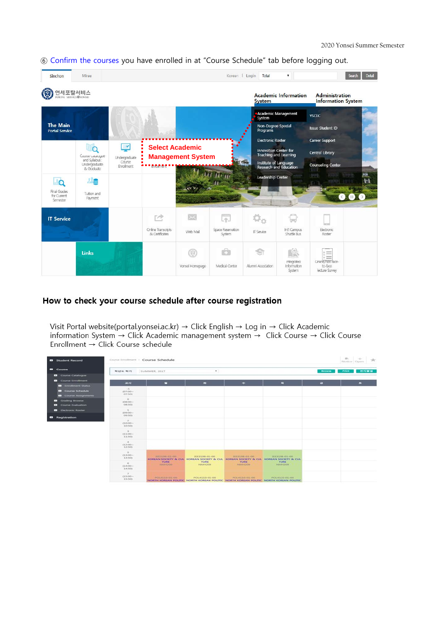| Sinchon                                  | Mirae                                        |                      |                                      |                          | Korean   Login              | Total                                                 | $\pmb{\mathrm{v}}$                  |                                                    | Detail<br>Search |
|------------------------------------------|----------------------------------------------|----------------------|--------------------------------------|--------------------------|-----------------------------|-------------------------------------------------------|-------------------------------------|----------------------------------------------------|------------------|
| 연세포탈서비스<br>E<br>PORTAL SERVICE@YONSEL    |                                              |                      |                                      |                          |                             | <b>System</b>                                         | <b>Academic Information</b>         | <b>Administration</b><br><b>Information System</b> |                  |
|                                          |                                              |                      |                                      |                          |                             | Academic Management<br>System                         |                                     | <b>YSCEC</b>                                       |                  |
| <b>The Main</b><br><b>Portal Service</b> |                                              |                      |                                      |                          |                             | Non-Degree Special<br>Programs                        |                                     | <b>Issue Student ID</b>                            |                  |
|                                          |                                              |                      |                                      |                          |                             | <b>Electronic Roster</b>                              |                                     | Career Support                                     |                  |
|                                          | Course catalogue                             | ᅾ<br>Undergraduate   | <b>Select Academic</b>               | <b>Management System</b> |                             | Innovation Center for<br><b>Teaching and Learning</b> |                                     | Central Library                                    |                  |
|                                          | and Syllabus:<br>Undergraduate<br>& Graduate | Course<br>Enrollment | <b>Bibilinent</b>                    |                          |                             | Institute of Language<br>Research and Education       |                                     | <b>Counseling Center</b>                           |                  |
| O                                        | <u>ye</u>                                    |                      |                                      |                          | <b>Thurp</b>                | Leadership Center                                     |                                     |                                                    | FH.<br>ы         |
| Final Grades<br>for Current<br>Semester  | Tuition and<br>Payment                       |                      |                                      |                          |                             |                                                       |                                     |                                                    |                  |
| <b>IT Service</b>                        |                                              |                      | œ                                    | $\mathord{\times}$       | 斥                           |                                                       |                                     |                                                    |                  |
|                                          |                                              |                      | Online Transcripts<br>& Certificates | Web Mail                 | Space Reservation<br>System | IT Service                                            | Int'l Campus<br>Shuttle Bus         | Electronic<br>Roster                               |                  |
|                                          | <b>Links</b>                                 |                      |                                      | o                        | Ġ                           |                                                       | (C)<br>$\mathbb{R}^n$               | $=$                                                |                  |
|                                          |                                              |                      |                                      | Yonsei Homepage          | Medical Center              | Alumni Association                                    | Integrated<br>Information<br>System | Ciniine/non-tace-<br>to-face<br>lecture Survey     |                  |

⑥ Confirm the courses you have enrolled in at "Course Schedule" tab before logging out.

# How to check your course schedule after course registration

Visit Portal website(portal.yonsei.ac.kr)  $\rightarrow$  Click English  $\rightarrow$  Log in  $\rightarrow$  Click Academic information System  $\rightarrow$  Click Academic management system  $\rightarrow$  Click Course  $\rightarrow$  Click Course<br>Enrollment  $\rightarrow$  Click Course schedule